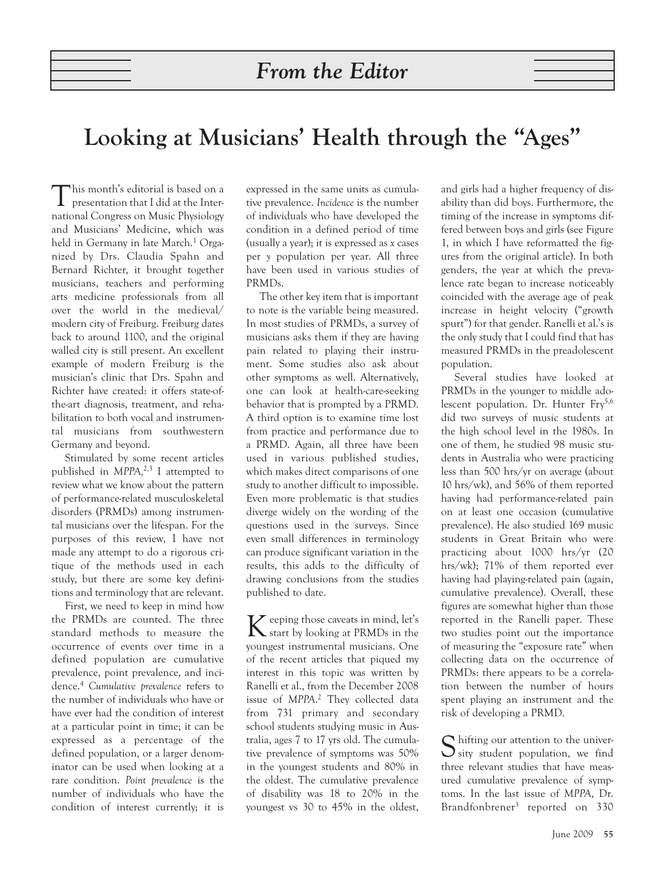## **Looking at Musicians' Health through the "Ages"**

This month's editorial is based on a presentation that I did at the International Congress on Music Physiology and Musicians' Medicine, which was held in Germany in late March.<sup>1</sup> Organized by Drs. Claudia Spahn and Bernard Richter, it brought together musicians, teachers and performing arts medicine professionals from all over the world in the medieval/ modern city of Freiburg. Freiburg dates back to around 1100, and the original walled city is still present. An excellent example of modern Freiburg is the musician's clinic that Drs. Spahn and Richter have created: it offers state-ofthe-art diagnosis, treatment, and rehabilitation to both vocal and instrumental musicians from southwestern Germany and beyond.

Stimulated by some recent articles published in *MPPA,*2,3 I attempted to review what we know about the pattern of performance-related musculoskeletal disorders (PRMDs) among instrumental musicians over the lifespan. For the purposes of this review, I have not made any attempt to do a rigorous critique of the methods used in each study, but there are some key definitions and terminology that are relevant.

First, we need to keep in mind how the PRMDs are counted. The three standard methods to measure the occurrence of events over time in a defined population are cumulative prevalence, point prevalence, and incidence.4 *Cumulative prevalence* refers to the number of individuals who have or have ever had the condition of interest at a particular point in time; it can be expressed as a percentage of the defined population, or a larger denominator can be used when looking at a rare condition. *Point prevalence* is the number of individuals who have the condition of interest currently; it is

expressed in the same units as cumulative prevalence. *Incidence* is the number of individuals who have developed the condition in a defined period of time (usually a year); it is expressed as *x* cases per *y* population per year. All three have been used in various studies of PRMDs.

The other key item that is important to note is the variable being measured. In most studies of PRMDs, a survey of musicians asks them if they are having pain related to playing their instrument. Some studies also ask about other symptoms as well. Alternatively, one can look at health-care-seeking behavior that is prompted by a PRMD. A third option is to examine time lost from practice and performance due to a PRMD. Again, all three have been used in various published studies, which makes direct comparisons of one study to another difficult to impossible. Even more problematic is that studies diverge widely on the wording of the questions used in the surveys. Since even small differences in terminology can produce significant variation in the results, this adds to the difficulty of drawing conclusions from the studies published to date.

Keeping those caveats in mind, let's start by looking at PRMDs in the youngest instrumental musicians. One of the recent articles that piqued my interest in this topic was written by Ranelli et al., from the December 2008 issue of *MPPA*. <sup>2</sup> They collected data from 731 primary and secondary school students studying music in Australia, ages 7 to 17 yrs old. The cumulative prevalence of symptoms was 50% in the youngest students and 80% in the oldest. The cumulative prevalence of disability was 18 to 20% in the youngest vs 30 to 45% in the oldest, and girls had a higher frequency of disability than did boys. Furthermore, the timing of the increase in symptoms differed between boys and girls (see Figure 1, in which I have reformatted the figures from the original article). In both genders, the year at which the prevalence rate began to increase noticeably coincided with the average age of peak increase in height velocity ("growth spurt") for that gender. Ranelli et al.'s is the only study that I could find that has measured PRMDs in the preadolescent population.

Several studies have looked at PRMDs in the younger to middle adolescent population. Dr. Hunter  $Fry^{5,6}$ did two surveys of music students at the high school level in the 1980s. In one of them, he studied 98 music students in Australia who were practicing less than 500 hrs/yr on average (about 10 hrs/wk), and 56% of them reported having had performance-related pain on at least one occasion (cumulative prevalence). He also studied 169 music students in Great Britain who were practicing about 1000 hrs/yr (20 hrs/wk); 71% of them reported ever having had playing-related pain (again, cumulative prevalence). Overall, these figures are somewhat higher than those reported in the Ranelli paper. These two studies point out the importance of measuring the "exposure rate" when collecting data on the occurrence of PRMDs: there appears to be a correlation between the number of hours spent playing an instrument and the risk of developing a PRMD.

 $\bigcap$  hifting our attention to the univer- $\sum$  sity student population, we find three relevant studies that have measured cumulative prevalence of symptoms. In the last issue of *MPPA*, Dr. Brandfonbrener<sup>3</sup> reported on 330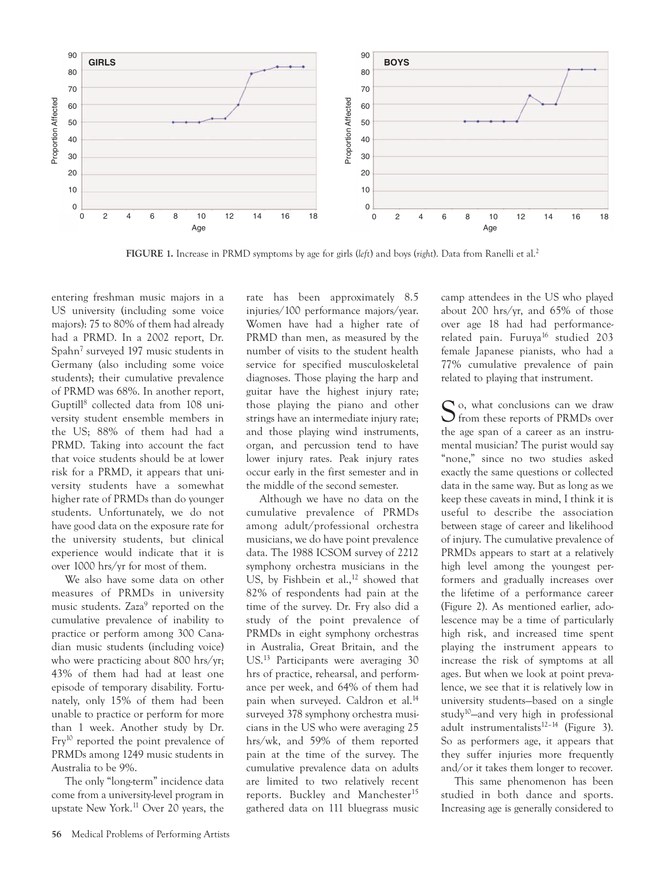

**FIGURE 1.** Increase in PRMD symptoms by age for girls (*left*) and boys (*right*). Data from Ranelli et al.2

entering freshman music majors in a US university (including some voice majors): 75 to 80% of them had already had a PRMD. In a 2002 report, Dr. Spahn7 surveyed 197 music students in Germany (also including some voice students); their cumulative prevalence of PRMD was 68%. In another report, Guptill8 collected data from 108 university student ensemble members in the US; 88% of them had had a PRMD. Taking into account the fact that voice students should be at lower risk for a PRMD, it appears that university students have a somewhat higher rate of PRMDs than do younger students. Unfortunately, we do not have good data on the exposure rate for the university students, but clinical experience would indicate that it is over 1000 hrs/yr for most of them.

We also have some data on other measures of PRMDs in university music students. Zaza<sup>9</sup> reported on the cumulative prevalence of inability to practice or perform among 300 Canadian music students (including voice) who were practicing about 800 hrs/yr; 43% of them had had at least one episode of temporary disability. Fortunately, only 15% of them had been unable to practice or perform for more than 1 week. Another study by Dr. Fry<sup>10</sup> reported the point prevalence of PRMDs among 1249 music students in Australia to be 9%.

The only "long-term" incidence data come from a university-level program in upstate New York.11 Over 20 years, the rate has been approximately 8.5 injuries/100 performance majors/year. Women have had a higher rate of PRMD than men, as measured by the number of visits to the student health service for specified musculoskeletal diagnoses. Those playing the harp and guitar have the highest injury rate; those playing the piano and other strings have an intermediate injury rate; and those playing wind instruments, organ, and percussion tend to have lower injury rates. Peak injury rates occur early in the first semester and in the middle of the second semester.

Although we have no data on the cumulative prevalence of PRMDs among adult/professional orchestra musicians, we do have point prevalence data. The 1988 ICSOM survey of 2212 symphony orchestra musicians in the US, by Fishbein et al., $12$  showed that 82% of respondents had pain at the time of the survey. Dr. Fry also did a study of the point prevalence of PRMDs in eight symphony orchestras in Australia, Great Britain, and the US.13 Participants were averaging 30 hrs of practice, rehearsal, and performance per week, and 64% of them had pain when surveyed. Caldron et al.<sup>14</sup> surveyed 378 symphony orchestra musicians in the US who were averaging 25 hrs/wk, and 59% of them reported pain at the time of the survey. The cumulative prevalence data on adults are limited to two relatively recent reports. Buckley and Manchester<sup>15</sup> gathered data on 111 bluegrass music camp attendees in the US who played about 200 hrs/yr, and 65% of those over age 18 had had performancerelated pain. Furuya<sup>16</sup> studied 203 female Japanese pianists, who had a 77% cumulative prevalence of pain related to playing that instrument.

S o, what conclusions can we draw **O** from these reports of PRMDs over the age span of a career as an instrumental musician? The purist would say "none," since no two studies asked exactly the same questions or collected data in the same way. But as long as we keep these caveats in mind, I think it is useful to describe the association between stage of career and likelihood of injury. The cumulative prevalence of PRMDs appears to start at a relatively high level among the youngest performers and gradually increases over the lifetime of a performance career (Figure 2). As mentioned earlier, adolescence may be a time of particularly high risk, and increased time spent playing the instrument appears to increase the risk of symptoms at all ages. But when we look at point prevalence, we see that it is relatively low in university students—based on a single study10—and very high in professional adult instrumentalists $12-14$  (Figure 3). So as performers age, it appears that they suffer injuries more frequently and/or it takes them longer to recover.

This same phenomenon has been studied in both dance and sports. Increasing age is generally considered to